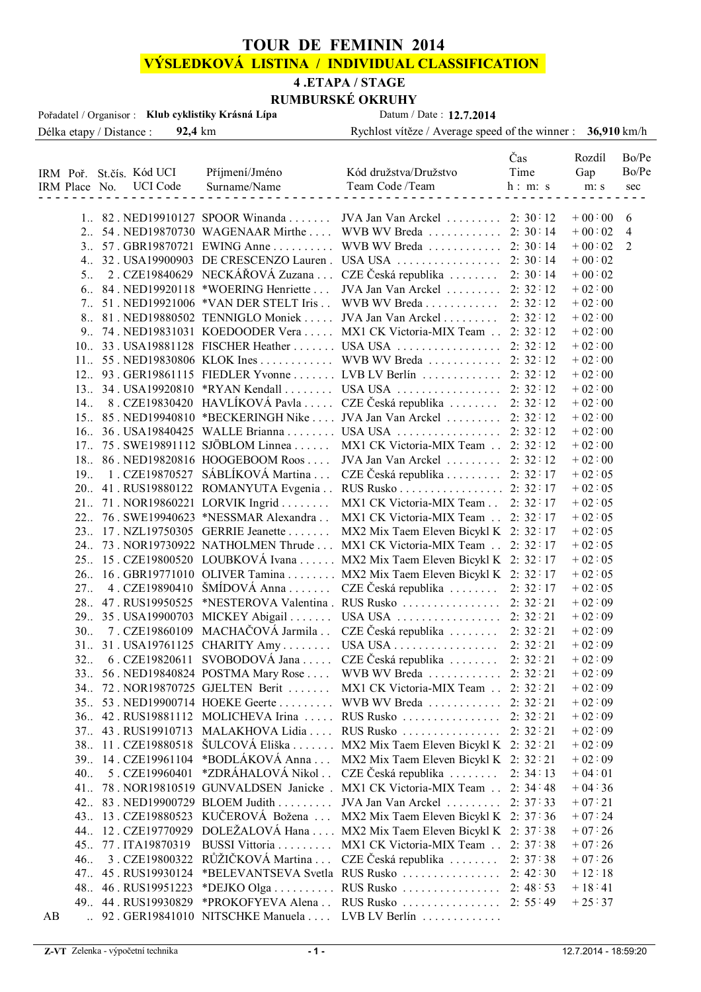# **TOUR DE FEMININ 2014**

# **VÝSLEDKOVÁ LISTINA / INDIVIDUAL CLASSIFICATION**

# **4 .ETAPA / STAGE**

Délka etapy / Distance : **92,4** km Rychlost vítěze / Average speed of the winner : **36,910** km/h **RUMBURSKÉ OKRUHY**<br>Datum / Date : 12.7.2014 Pořadatel / Organisor : **Klub cyklistiky Krásná Lípa** 

|    |                 |                          |                        |                                        |                                                                              | Čas      | Rozdíl   | Bo/Pe          |
|----|-----------------|--------------------------|------------------------|----------------------------------------|------------------------------------------------------------------------------|----------|----------|----------------|
|    |                 | IRM Poř. St.čís. Kód UCI |                        | Příjmení/Jméno                         | Kód družstva/Družstvo                                                        | Time     | Gap      | Bo/Pe          |
|    |                 |                          | IRM Place No. UCI Code | Surname/Name                           | Team Code /Team                                                              | h: m: s  | m: s     | sec            |
|    |                 |                          |                        |                                        |                                                                              |          |          |                |
|    |                 |                          |                        |                                        | 1. 82. NED19910127 SPOOR Winanda  JVA Jan Van Arckel  2: 30:12               |          | $+00:00$ | 6              |
|    |                 |                          |                        | 2. 54. NED19870730 WAGENAAR Mirthe     | WVB WV Breda  2: 30:14                                                       |          | $+00:02$ | $\overline{4}$ |
|    |                 |                          |                        |                                        | 3. 57. GBR19870721 EWING Anne WVB WV Breda  2:30:14                          |          | $+00:02$ | 2              |
|    |                 |                          |                        |                                        |                                                                              |          | $+00:02$ |                |
|    | 5 <sub>1</sub>  |                          |                        |                                        | 2. CZE19840629 NECKÁŘOVÁ Zuzana  CZE Česká republika                         | 2:30:14  | $+00:02$ |                |
|    |                 |                          |                        | 6. 84. NED19920118 *WOERING Henriette  | JVA Jan Van Arckel  2: 32:12                                                 |          | $+02:00$ |                |
|    |                 |                          |                        | 7. 51. NED19921006 *VAN DER STELT Iris | WVB WV Breda                                                                 | 2:32:12  | $+02:00$ |                |
|    |                 |                          |                        |                                        | 8. 81. NED19880502 TENNIGLO Moniek  JVA Jan Van Arckel                       | 2:32:12  | $+02:00$ |                |
|    |                 |                          |                        |                                        | 9. 74. NED19831031 KOEDOODER Vera  MX1 CK Victoria-MIX Team  2: 32:12        |          | $+02:00$ |                |
|    |                 |                          |                        |                                        | 10. 33. USA19881128 FISCHER Heather  USA USA                                 | 2:32:12  | $+02:00$ |                |
|    |                 |                          |                        |                                        | 11. 55. NED19830806 KLOK Ines WVB WV Breda 2: 32:12                          |          | $+02:00$ |                |
|    |                 |                          |                        |                                        | 12. 93. GER19861115 FIEDLER Yvonne LVB LV Berlín  2: 32:12                   |          | $+02:00$ |                |
|    |                 |                          |                        |                                        | 13. 34. USA19920810 *RYAN Kendall  USA USA  2: 32:12                         |          | $+02:00$ |                |
|    |                 |                          |                        |                                        | 14. 8. CZE19830420 HAVLÍKOVÁ Pavla  CZE Česká republika                      | 2:32:12  | $+02:00$ |                |
|    |                 |                          |                        |                                        | 15. 85. NED19940810 *BECKERINGH Nike  JVA Jan Van Arckel  2:32:12            |          | $+02:00$ |                |
|    |                 |                          |                        |                                        | 16. 36. USA19840425 WALLE Brianna  USA USA                                   | 2:32:12  | $+02:00$ |                |
|    |                 |                          |                        |                                        | 17. 75. SWE19891112 SJÖBLOM Linnea  MX1 CK Victoria-MIX Team  2: 32:12       |          | $+02:00$ |                |
|    |                 |                          |                        |                                        | 18. 86. NED19820816 HOOGEBOOM Roos  JVA Jan Van Arckel  2: 32:12             |          | $+02:00$ |                |
|    | 19 <sub>1</sub> |                          |                        |                                        | 1. CZE19870527 SÁBLÍKOVÁ Martina  CZE Česká republika  2: 32:17              |          | $+02:05$ |                |
|    |                 |                          |                        |                                        | 20. 41. RUS19880122 ROMANYUTA Evgenia RUS Rusko 2: 32:17                     |          | $+02:05$ |                |
|    |                 |                          |                        | 21. 71. NOR19860221 LORVIK Ingrid      | MX1 CK Victoria-MIX Team 2: 32:17                                            |          | $+02:05$ |                |
|    |                 |                          |                        |                                        | 22. 76. SWE19940623 *NESSMAR Alexandra . MX1 CK Victoria-MIX Team . 2: 32:17 |          | $+02:05$ |                |
|    |                 |                          |                        |                                        | 23. 17. NZL19750305 GERRIE Jeanette  MX2 Mix Taem Eleven Bicykl K 2: 32:17   |          | $+02:05$ |                |
|    |                 |                          |                        |                                        | 24. 73. NOR19730922 NATHOLMEN Thrude  MX1 CK Victoria-MIX Team  2: 32:17     |          | $+02:05$ |                |
|    |                 |                          |                        |                                        | 25. 15. CZE19800520 LOUBKOVÁ Ivana  MX2 Mix Taem Eleven Bicykl K 2: 32:17    |          | $+02:05$ |                |
|    |                 |                          |                        |                                        | 26. 16. GBR19771010 OLIVER Tamina  MX2 Mix Taem Eleven Bicykl K 2: 32:17     |          | $+02:05$ |                |
|    | 27.             |                          | 4. CZE19890410         |                                        | ŠMÍDOVÁ Anna  CZE Česká republika  2: 32:17                                  |          | $+02:05$ |                |
|    |                 |                          |                        |                                        |                                                                              |          | $+02:09$ |                |
|    |                 |                          |                        |                                        |                                                                              |          | $+02:09$ |                |
|    | 30 <sub>1</sub> |                          |                        |                                        | 7. CZE19860109 MACHAČOVÁ Jarmila . CZE Česká republika  2: 32:21             |          | $+02:09$ |                |
|    |                 |                          |                        |                                        | 31. 31. USA19761125 CHARITY Amy USA USA                                      | 2: 32:21 | $+02:09$ |                |
|    | 32 <sub>1</sub> |                          |                        |                                        | 6. CZE19820611 SVOBODOVÁ Jana  CZE Česká republika  2: 32:21                 |          | $+02:09$ |                |
|    |                 |                          |                        | 33. 56. NED19840824 POSTMA Mary Rose   | WVB WV Breda  2: 32:21                                                       |          | $+02:09$ |                |
|    |                 |                          |                        | 34. 72. NOR19870725 GJELTEN Berit      | MX1 CK Victoria-MIX Team 2: 32:21                                            |          | $+02:09$ |                |
|    |                 |                          |                        | 35. 53. NED19900714 HOEKE Geerte       | WVB WV Breda                                                                 | 2:32:21  | $+02:09$ |                |
|    |                 |                          |                        | 36. 42. RUS19881112 MOLICHEVA Irina    | RUS Rusko                                                                    | 2:32:21  | $+02:09$ |                |
|    |                 |                          |                        | 37. 43. RUS19910713 MALAKHOVA Lidia    | RUS Rusko                                                                    | 2: 32:21 | $+02:09$ |                |
|    |                 |                          |                        | 38. 11. CZE19880518 ŠULCOVÁ Eliška     | MX2 Mix Taem Eleven Bicykl K 2: 32:21                                        |          | $+02:09$ |                |
|    |                 |                          |                        | 39. 14. CZE19961104 *BODLÁKOVÁ Anna    | MX2 Mix Taem Eleven Bicykl K 2: 32:21                                        |          | $+02:09$ |                |
|    | 40.             |                          | 5. CZE19960401         | *ZDRÁHALOVÁ Nikol                      | CZE Česká republika $\ldots \ldots$                                          | 2:34:13  | $+04:01$ |                |
|    | 41.             |                          |                        | 78. NOR19810519 GUNVALDSEN Janicke.    | MX1 CK Victoria-MIX Team 2: 34:48                                            |          | $+04:36$ |                |
|    |                 |                          |                        | 42. 83. NED19900729 BLOEM Judith       | JVA Jan Van Arckel                                                           | 2: 37:33 | $+07:21$ |                |
|    |                 |                          |                        | 43. 13. CZE19880523 KUČEROVÁ Božena    | MX2 Mix Taem Eleven Bicykl K 2: 37:36                                        |          | $+07:24$ |                |
|    |                 |                          |                        |                                        | 44. 12. CZE19770929 DOLEŽALOVÁ Hana  MX2 Mix Taem Eleven Bicykl K 2: 37:38   |          | $+07:26$ |                |
|    |                 |                          | 4577.ITA19870319       | BUSSI Vittoria                         | MX1 CK Victoria-MIX Team 2: 37:38                                            |          | $+07:26$ |                |
|    | 46.             |                          |                        | 3. CZE19800322 RŮŽIČKOVÁ Martina       | $CZE \text{ Česká republika}$                                                | 2:37:38  | $+07:26$ |                |
|    |                 |                          |                        |                                        |                                                                              |          | $+12:18$ |                |
|    |                 |                          |                        |                                        |                                                                              |          | $+18:41$ |                |
|    |                 |                          |                        | 49. 44. RUS19930829 *PROKOFYEVA Alena  | RUS Rusko 2: 55:49                                                           |          | $+25:37$ |                |
| AB |                 |                          |                        | 92. GER19841010 NITSCHKE Manuela       | $LVB$ $LV$ Berlín $\ldots \ldots \ldots$                                     |          |          |                |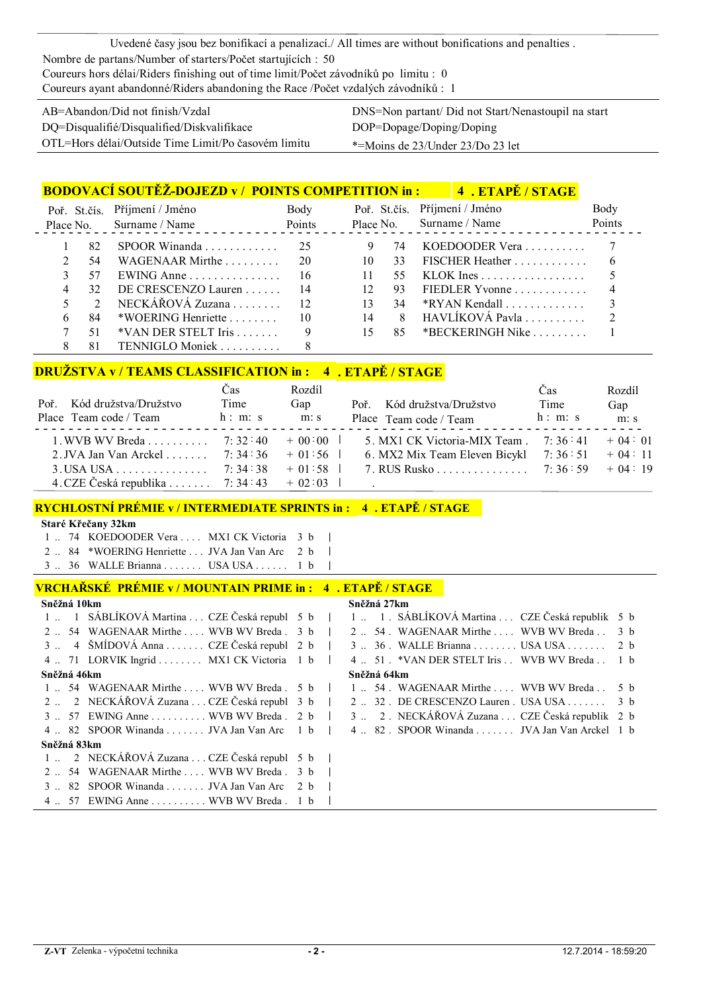Uvedené časy jsou bez bonifikací a penalizací./ All times are without bonifications and penalties . Nombre de partans/Number of starters/Počet startujících : 50 Coureurs hors délai/Riders finishing out of time limit/Počet závodníků po limitu : 0 Coureurs ayant abandonné/Riders abandoning the Race /Počet vzdalých závodníků : 1

| $AB = Abandon/Did not finish/Vzdal$                 | DNS=Non partant/ Did not Sta |
|-----------------------------------------------------|------------------------------|
| DO=Disqualifié/Disqualified/Diskvalifikace          | DOP=Dopage/Doping/Doping     |
| OTL=Hors délai/Outside Time Limit/Po časovém limitu | *=Moins de 23/Under 23/Do 2  |

Start/Nenastoupil na start o 23 let

|   |    | <b>BODOVACÍ SOUTĚŽ-DOJEZD v/ POINTS COMPETITION in :</b> |                 |                 |     | 4. ETAPĖ / STAGE                                 |        |
|---|----|----------------------------------------------------------|-----------------|-----------------|-----|--------------------------------------------------|--------|
|   |    | Poř. St. čís. Příjmení / Jméno                           | Body            |                 |     | Poř. St.čís. Příjmení / Jméno                    | Body   |
|   |    | Place No. Surname / Name                                 | Points          |                 |     | Place No. Surname / Name                         | Points |
|   | 82 | SPOOR Winanda 25                                         |                 |                 | 74  | KOEDOODER Vera $\ldots \ldots \ldots$ 7          |        |
|   | 54 | WAGENAAR Mirthe                                          | -20             | 10              | 33  | FISCHER Heather $\dots \dots \dots \dots$ 6      |        |
|   | 57 | EWING Anne $\ldots \ldots \ldots \ldots$ 16              |                 | 11              | 55. | KLOK $\text{Ines} \dots \dots \dots \dots \dots$ |        |
| 4 | 32 | DE CRESCENZO Lauren                                      | - 14            | 12 <sup>2</sup> | 93  | FIEDLER Yvonne $\ldots \ldots \ldots$            |        |
|   | 2  | NECKÁŘOVÁ Zuzana $\ldots$                                | $\overline{12}$ |                 | 34  |                                                  |        |
|   | 84 | *WOERING Henriette $\ldots$ 10                           |                 | 14              | 8   | HAVLIKOVÁ Pavla $\ldots \ldots \ldots$ 2         |        |
|   | 51 | $*$ VAN DER STELT Iris $\ldots$                          |                 | 15              | 85  | *BECKERINGH Nike $\ldots \ldots \ldots$ 1        |        |
|   | 81 | TENNIGLO Moniek                                          |                 |                 |     |                                                  |        |

# **DRUŽSTVA v / TEAMS CLASSIFICATION in : 4 . ETAPĚ / STAGE**

|                                                  | Cas     | Rozdíl |                                       | Cas     | Rozdíl   |
|--------------------------------------------------|---------|--------|---------------------------------------|---------|----------|
| Poř. Kód družstva/Družstvo                       | Time    | Gap    | Poř. Kód družstva/Družstvo            | Time    | Gap      |
| Place Team code / Team                           | h: m: s | m: s   | Place Team code / Team                | h: m: s | m: s     |
| 1. WVB WV Breda $\sqrt{7}$ : 32:40 $\sqrt{0.00}$ |         |        | 5. MX1 CK Victoria-MIX Team $7:36:41$ |         | $+04:01$ |
| 2. JVA Jan Van Arckel  7:34:36 + 01:56           |         |        | 6. MX2 Mix Team Eleven Bicykl 7:36:51 |         | $+04:11$ |
| $3. USA USA$ 7: 34:38 + 01:58                    |         |        | 7. RUS Rusko 7: 36:59 $+04:19$        |         |          |
| 4. CZE Česká republika 7: 34: 43 + 02: 03        |         |        |                                       |         |          |

### **RYCHLOSTNÍ PRÉMIE v / INTERMEDIATE SPRINTS in : 4 . ETAPĚ / STAGE**

#### **Staré Křečany 32km**

|  | 1  74 KOEDOODER Vera  MX1 CK Victoria 3 b     |  |  |
|--|-----------------------------------------------|--|--|
|  | 2  84 *WOERING Henriette  JVA Jan Van Arc 2 b |  |  |
|  | 3  36 WALLE Brianna  USA USA  1 b             |  |  |

#### **VRCHAŘSKÉ PRÉMIE v / MOUNTAIN PRIME in : 4 . ETAPĚ / STAGE**

| Sněžná 10km                                              |  | Sněžná 27km                                                                                    |  |  |  |  |
|----------------------------------------------------------|--|------------------------------------------------------------------------------------------------|--|--|--|--|
|                                                          |  | 1. 1 SÁBLÍKOVÁ Martina  CZE Česká republ 5 b   1. 1. SÁBLÍKOVÁ Martina  CZE Česká republik 5 b |  |  |  |  |
| 2 . 54 WAGENAAR Mirthe  WVB WV Breda . 3 b               |  | 2 . 54 . WAGENAAR Mirthe  WVB WV Breda  3 b                                                    |  |  |  |  |
| 3  4 ŠMÍDOVÁ Anna  CZE Česká republ 2 b                  |  | 3  36 . WALLE Brianna  USA USA  2 b                                                            |  |  |  |  |
| 4  71 LORVIK Ingrid  MX1 CK Victoria $1 b$               |  | 4 . 51 . * VAN DER STELT Iris . WVB WV Breda . 1 b                                             |  |  |  |  |
| Sněžná 46km                                              |  | Sněžná 64km                                                                                    |  |  |  |  |
| $1 \dots 54$ WAGENAAR Mirthe  WVB WV Breda $5 \text{ b}$ |  | 1  54. WAGENAAR Mirthe WVB WV Breda 5 b                                                        |  |  |  |  |
| 2. 2 NECKÁŘOVÁ Zuzana  CZE Česká republ 3 b              |  | $2 \ldots 32$ . DE CRESCENZO Lauren. USA USA 3 b                                               |  |  |  |  |
| $3 \dots 57$ EWING Anne  WVB WV Breda $2 \cdot b$        |  | 3  2. NECKÁŘOVÁ Zuzana  CZE Česká republik 2 b                                                 |  |  |  |  |
| 4 $\ldots$ 82 SPOOR Winanda $\ldots$ JVA Jan Van Arc 1 b |  | 4  82 . SPOOR Winanda  JVA Jan Van Arckel 1 b                                                  |  |  |  |  |
| Sněžná 83km                                              |  |                                                                                                |  |  |  |  |
| 1. 2 NECKÁŘOVÁ Zuzana  CZE Česká republ 5 b              |  |                                                                                                |  |  |  |  |
| 2  54 WAGENAAR Mirthe  WVB WV Breda . 3 b                |  |                                                                                                |  |  |  |  |
| 3  82 SPOOR Winanda  JVA Jan Van Arc 2 b                 |  |                                                                                                |  |  |  |  |
| $4 \dots 57$ EWING Anne  WVB WV Breda $1 \text{ b}$      |  |                                                                                                |  |  |  |  |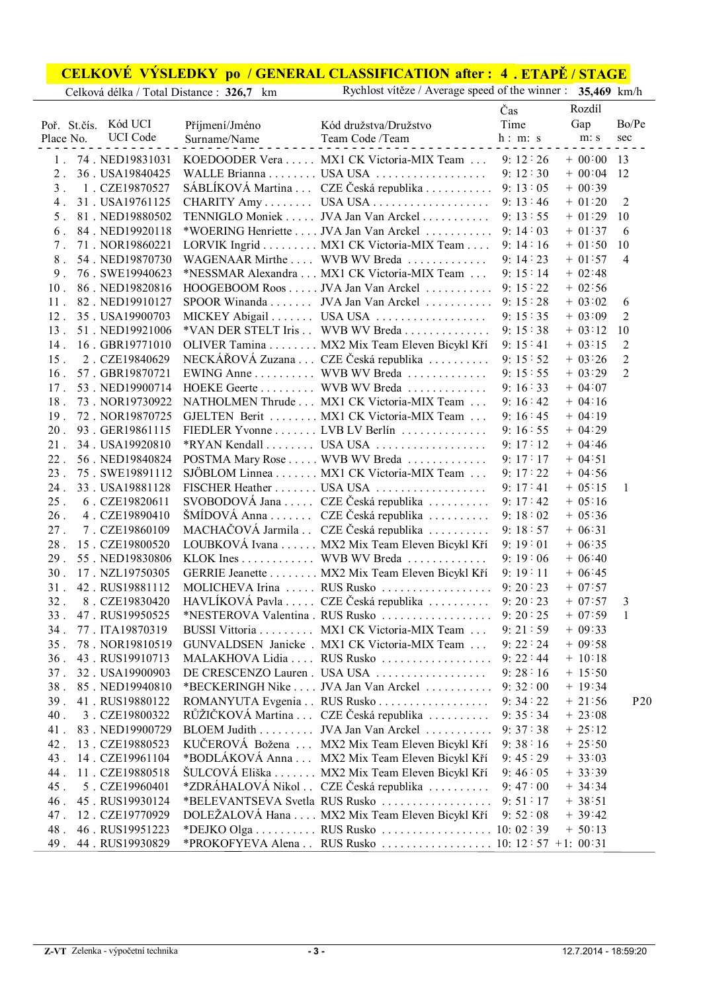## **CELKOVÉ VÝSLEDKY po / GENERAL CLASSIFICATION 4 . ETAPĚ / STAGE after :**

|                 |                 |                |                                                   | Čas     | Rozdíl    |                |
|-----------------|-----------------|----------------|---------------------------------------------------|---------|-----------|----------------|
| Poř. St.čís.    | Kód UCI         | Příjmení/Jméno | Kód družstva/Družstvo                             | Time    | Gap       | Bo/Pe          |
| Place No.       | <b>UCI</b> Code | Surname/Name   | Team Code /Team                                   | h: m: s | m: s      | sec            |
| $1$ .           | 74. NED19831031 |                | KOEDOODER Vera  MX1 CK Victoria-MIX Team          | 9:12:26 | $+ 00.00$ | 13             |
| $2$ .           | 36. USA19840425 |                |                                                   | 9:12:30 | $+ 00.04$ | 12             |
| 3 <sup>1</sup>  | 1. CZE19870527  |                | SÁBLÍKOVÁ Martina  CZE Česká republika            | 9:13:05 | $+ 00:39$ |                |
| $4$ .           | 31. USA19761125 |                | CHARITY Amy USA USA                               | 9:13:46 | $+ 01:20$ | $\overline{2}$ |
| 5.              | 81. NED19880502 |                | TENNIGLO Moniek JVA Jan Van Arckel                | 9:13:55 | $+ 01:29$ | 10             |
| 6.              | 84. NED19920118 |                | *WOERING Henriette JVA Jan Van Arckel             | 9:14:03 | $+ 01:37$ | 6              |
| $7$ .           | 71. NOR19860221 |                | LORVIK Ingrid MX1 CK Victoria-MIX Team            | 9:14:16 | $+ 01:50$ | 10             |
| $8$ .           | 54. NED19870730 |                | WAGENAAR Mirthe  WVB WV Breda                     | 9:14:23 | $+ 01:57$ | $\overline{4}$ |
| 9 <sub>1</sub>  | 76. SWE19940623 |                | *NESSMAR Alexandra MX1 CK Victoria-MIX Team       | 9:15:14 | $+ 02:48$ |                |
| 10.             | 86. NED19820816 |                | HOOGEBOOM Roos JVA Jan Van Arckel                 | 9:15:22 | $+ 02:56$ |                |
| 11.             | 82. NED19910127 |                | SPOOR Winanda JVA Jan Van Arckel                  | 9:15:28 | $+ 03:02$ | 6              |
| 12.             | 35. USA19900703 |                | MICKEY Abigail USA USA                            | 9:15:35 | $+ 03:09$ | $\overline{2}$ |
| 13.             | 51. NED19921006 |                | *VAN DER STELT Iris . WVB WV Breda                | 9:15:38 | $+ 03:12$ | 10             |
| $14$ .          | 16. GBR19771010 |                | OLIVER Tamina MX2 Mix Team Eleven Bicykl Kří      | 9:15:41 | $+ 03:15$ | $\overline{2}$ |
| 15.             | 2. CZE19840629  |                | NECKÁŘOVÁ Zuzana  CZE Česká republika             | 9:15:52 | $+ 03:26$ | $\overline{2}$ |
| $16$ .          | 57. GBR19870721 |                | EWING Anne WVB WV Breda                           | 9:15:55 | $+ 03:29$ | $\overline{2}$ |
| 17.             | 53. NED19900714 |                | HOEKE Geerte WVB WV Breda                         | 9:16:33 | $+ 04:07$ |                |
| $18$ .          | 73. NOR19730922 |                | NATHOLMEN Thrude MX1 CK Victoria-MIX Team         | 9:16:42 | $+ 04:16$ |                |
| 19.             | 72. NOR19870725 |                | GJELTEN Berit MX1 CK Victoria-MIX Team            | 9:16:45 | $+ 04:19$ |                |
| 20.             | 93. GER19861115 |                | FIEDLER Yvonne LVB LV Berlín                      | 9:16:55 | $+ 04:29$ |                |
| $21$ .          | 34. USA19920810 |                |                                                   | 9:17:12 | $+ 04:46$ |                |
| $22$ .          | 56. NED19840824 |                | POSTMA Mary Rose WVB WV Breda                     | 9:17:17 | $+ 04:51$ |                |
| 23.             | 75. SWE19891112 |                | SJÖBLOM Linnea MX1 CK Victoria-MIX Team           | 9:17:22 | $+04:56$  |                |
| 24.             | 33. USA19881128 |                |                                                   | 9:17:41 | $+ 05:15$ | $\mathbf{1}$   |
| 25.             | 6. CZE19820611  |                | SVOBODOVÁ Jana  CZE Česká republika               | 9:17:42 | $+ 05:16$ |                |
| 26.             | 4. CZE19890410  |                | ŠMÍDOVÁ Anna CZE Česká republika                  | 9:18:02 | $+ 05:36$ |                |
| 27.             | 7. CZE19860109  |                | MACHAČOVÁ Jarmila . CZE Česká republika           | 9:18:57 | $+ 06:31$ |                |
| 28.             | 15. CZE19800520 |                | LOUBKOVÁ Ivana MX2 Mix Team Eleven Bicykl Kří     | 9:19:01 | $+ 06:35$ |                |
| 29.             | 55. NED19830806 |                | KLOK Ines WVB WV Breda                            | 9:19:06 | $+ 06:40$ |                |
| 30.             | 17. NZL19750305 |                | GERRIE Jeanette MX2 Mix Team Eleven Bicykl Kří    | 9:19:11 | $+ 06:45$ |                |
| 31.             | 42. RUS19881112 |                | MOLICHEVA Irina  RUS Rusko                        | 9:20:23 | $+ 07:57$ |                |
| 32.             | 8. CZE19830420  |                | HAVLÍKOVÁ Pavla  CZE Česká republika              | 9:20:23 | $+ 07:57$ | 3              |
| 33.             | 47. RUS19950525 |                | *NESTEROVA Valentina. RUS Rusko                   | 9:20:25 | $+ 07:59$ | 1              |
| 34.             | 77. ITA19870319 |                | BUSSI Vittoria MX1 CK Victoria-MIX Team           | 9:21:59 | $+09:33$  |                |
| 35.             | 78. NOR19810519 |                | GUNVALDSEN Janicke . MX1 CK Victoria-MIX Team     | 9:22:24 | $+09:58$  |                |
| 36.             | 43. RUS19910713 |                | MALAKHOVA Lidia  RUS Rusko                        | 9:22:44 | $+ 10:18$ |                |
| 37 <sub>1</sub> | 32. USA19900903 |                | DE CRESCENZO Lauren. USA USA                      | 9:28:16 | $+ 15:50$ |                |
| $38$ .          | 85. NED19940810 |                | *BECKERINGH Nike JVA Jan Van Arckel               | 9:32:00 | $+ 19:34$ |                |
| 39.             | 41. RUS19880122 |                | ROMANYUTA Evgenia RUS Rusko                       | 9:34:22 | $+21:56$  | P20            |
| 40.             | 3. CZE19800322  |                | RŮŽIČKOVÁ Martina CZE Česká republika             | 9:35:34 | $+23:08$  |                |
| 41.             | 83. NED19900729 |                | BLOEM Judith JVA Jan Van Arckel                   | 9:37:38 | $+ 25:12$ |                |
| 42.             | 13. CZE19880523 |                | KUČEROVÁ Božena  MX2 Mix Team Eleven Bicykl Kří   | 9:38:16 | $+25:50$  |                |
| 43.             | 14. CZE19961104 |                | *BODLÁKOVÁ Anna  MX2 Mix Team Eleven Bicykl Kří   | 9:45:29 | $+33:03$  |                |
| 44.             | 11. CZE19880518 |                | ŠULCOVÁ Eliška MX2 Mix Team Eleven Bicykl Kří     | 9:46:05 | $+33:39$  |                |
| 45.             | 5. CZE19960401  |                | *ZDRÁHALOVÁ Nikol . CZE Česká republika           | 9:47:00 | $+34:34$  |                |
| 46.             | 45. RUS19930124 |                | *BELEVANTSEVA Svetla RUS Rusko                    | 9:51:17 | $+38:51$  |                |
| 47.             | 12. CZE19770929 |                | DOLEŽALOVÁ Hana  MX2 Mix Team Eleven Bicykl Kří   | 9:52:08 | $+39:42$  |                |
| 48.             | 46. RUS19951223 |                | *DEJKO Olga RUS Rusko 10: 02:39                   |         | $+ 50:13$ |                |
| 49.             | 44. RUS19930829 |                | *PROKOFYEVA Alena . RUS Rusko 10: 12:57 +1: 00:31 |         |           |                |

Celková délka / Total Distance : **326,7** km Rychlost vítěze / Average speed of the winner : **35,469** km/h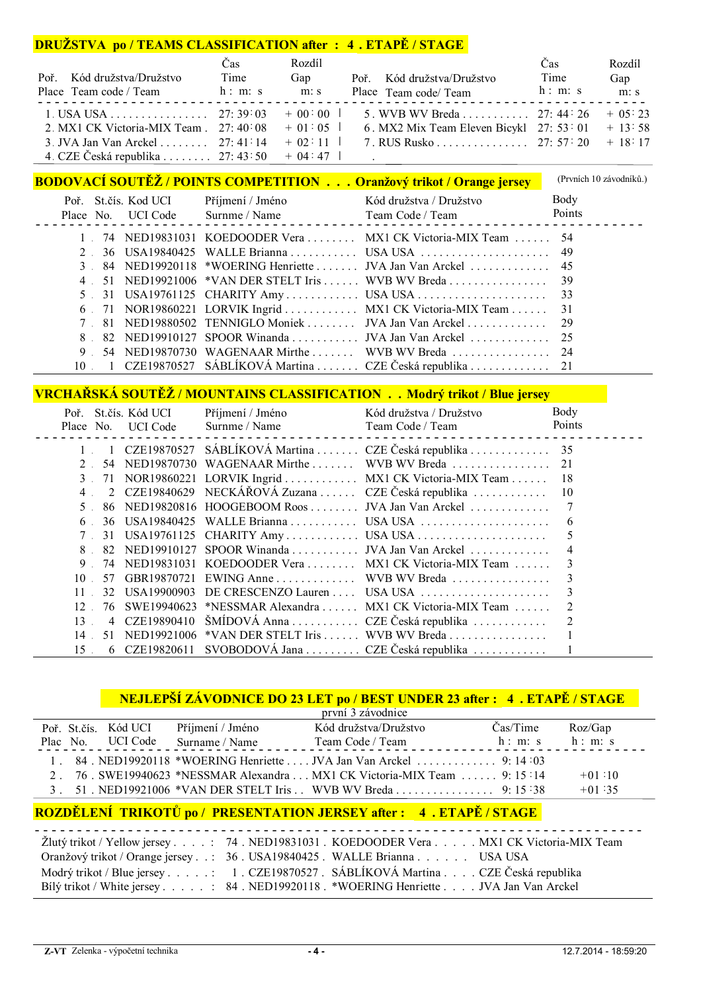## **DRUŽSTVA po / TEAMS CLASSIFICATION after : 4 . ETAPĚ / STAGE**

|                                                  | Cas  | Rozdíl |                                                     | Čas     | Rozdíl |
|--------------------------------------------------|------|--------|-----------------------------------------------------|---------|--------|
| Poř. Kód družstva/Družstvo                       | Time | Gap    | Poř. Kód družstva/Družstvo                          | Time    | Gap    |
| Place Team code / Team h: m: s                   |      | m: s   | Place Team code/ Team                               | h: m: s | m: s   |
|                                                  |      |        |                                                     |         |        |
| 2. MX1 CK Victoria-MIX Team $. 27:40:08 + 01:05$ |      |        | 6. MX2 Mix Team Eleven Bicykl 27: 53: 01 $+$ 13: 58 |         |        |
| 3. JVA Jan Van Arckel  27: 41:14 $+$ 02:11       |      |        | 7. RUS Rusko 27: 57: 20 + 18: 17                    |         |        |
| 4. CZE Česká republika  27: 43:50 + 04:47        |      |        |                                                     |         |        |

|           |                      |                  | <b>BODOVACÍ SOUTĚŽ / POINTS COMPETITION Oranžový trikot / Orange jersey</b> | (Prvních 10 závodníků.) |
|-----------|----------------------|------------------|-----------------------------------------------------------------------------|-------------------------|
|           | Poř. St.čís. Kod UCI | Příjmení / Jméno | Kód družstva / Družstvo                                                     | Body                    |
|           |                      |                  | Place No. UCI Code Surnme / Name Team Code / Team . Points Points           |                         |
|           |                      |                  | 74 NED19831031 KOEDOODER Vera  MX1 CK Victoria-MIX Team  54                 |                         |
|           |                      |                  |                                                                             |                         |
|           |                      |                  | 3 84 NED19920118 *WOERING Henriette  JVA Jan Van Arckel  45                 |                         |
| $4 \quad$ |                      |                  |                                                                             |                         |
|           |                      |                  | 5 31 USA19761125 CHARITY Amy USA USA 33                                     |                         |
|           |                      |                  | 6 71 NOR19860221 LORVIK Ingrid  MX1 CK Victoria-MIX Team  31                |                         |
|           |                      |                  | 81 NED19880502 TENNIGLO Moniek JVA Jan Van Arckel 29                        |                         |
|           |                      |                  |                                                                             |                         |
| 9         |                      |                  |                                                                             |                         |
|           |                      |                  |                                                                             |                         |

# **VRCHAŘSKÁ SOUTĚŽ / MOUNTAINS CLASSIFICATION . . Modrý trikot / Blue jersey**

| Poř. |                | St.čís. Kód UCI    | Příjmení / Jméno | Kód družstva / Družstvo                                  | Body   |
|------|----------------|--------------------|------------------|----------------------------------------------------------|--------|
|      |                | Place No. UCI Code | Surnme / Name    | Team Code / Team                                         | Points |
|      |                |                    |                  | CZE19870527 SÁBLÍKOVÁ Martina  CZE Česká republika  35   |        |
|      | 54             |                    |                  |                                                          |        |
|      |                |                    |                  | 71 NOR19860221 LORVIK Ingrid MX1 CK Victoria-MIX Team    | -18    |
| 4    |                |                    |                  | 2 CZE19840629 NECKÁŘOVÁ Zuzana  CZE Česká republika      | 10     |
| .5   |                |                    |                  | 86 NED19820816 HOOGEBOOM Roos  JVA Jan Van Arckel        |        |
| 6.   | 36.            | USA 19840425       |                  |                                                          | 6      |
|      | 31             |                    |                  |                                                          |        |
| 8    | 82.            |                    |                  | NED19910127 SPOOR Winanda  JVA Jan Van Arckel            |        |
| 9    | 74             |                    |                  | NED19831031 KOEDOODER Vera  MX1 CK Victoria-MIX Team     |        |
| 10   | 57             | GBR19870721        |                  |                                                          |        |
| 11   | 32             | USA19900903        |                  | DE CRESCENZO Lauren  USA USA                             |        |
| 12   | 76             |                    |                  | SWE19940623 *NESSMAR Alexandra  MX1 CK Victoria-MIX Team |        |
| 13   | $\overline{4}$ | CZE19890410        |                  | ŠMÍDOVÁ Anna CZE Česká republika                         |        |
| 14   | 51.            |                    |                  | $NED19921006$ *VAN DER STELT Iris  WVB WV Breda          |        |
| 15   |                | 6 CZE19820611      |                  | SVOBODOVÁ Jana  CZE Česká republika                      |        |

# **NEJLEPŠÍ ZÁVODNICE DO 23 LET po / BEST UNDER 23 after : 4 . ETAPĚ / STAGE**

|  |                      |                  | první 3 závodnice                                                      |                      |          |
|--|----------------------|------------------|------------------------------------------------------------------------|----------------------|----------|
|  | Poř. St.čís. Kód UCI | Příjmení / Jméno | Kód družstva/Družstvo                                                  | Čas/Time             | Roz/Gap  |
|  | Plac No. UCI Code    | Surname / Name   | Team Code / Team                                                       | $h: m: s \t h: m: s$ |          |
|  |                      |                  | 1. 84. NED19920118 *WOERING Henriette  JVA Jan Van Arckel  9:14:03     |                      |          |
|  |                      |                  | 2. 76 SWE19940623 *NESSMAR Alexandra MX1 CK Victoria-MIX Team  9:15:14 |                      | $+01:10$ |
|  |                      |                  | 3. 51. NED19921006 *VAN DER STELT Iris . WVB WV Breda 9: 15:38         |                      | $+01:35$ |

# **ROZDĚLENÍ TRIKOTŮ po / PRESENTATION JERSEY after : 4 . ETAPĚ / STAGE**

| Žlutý trikot / Yellow jersey : 74. NED19831031. KOEDOODER Vera MX1 CK Victoria-MIX Team |
|-----------------------------------------------------------------------------------------|
| Oranžový trikot / Orange jersey: 36. USA19840425. WALLE Brianna. USA USA                |
| Modrý trikot / Blue jersey : 1 . CZE19870527 . SÁBLÍKOVÁ Martina CZE Česká republika    |
| Bílý trikot / White jersey 84 NED19920118 . *WOERING Henriette JVA Jan Van Arckel       |